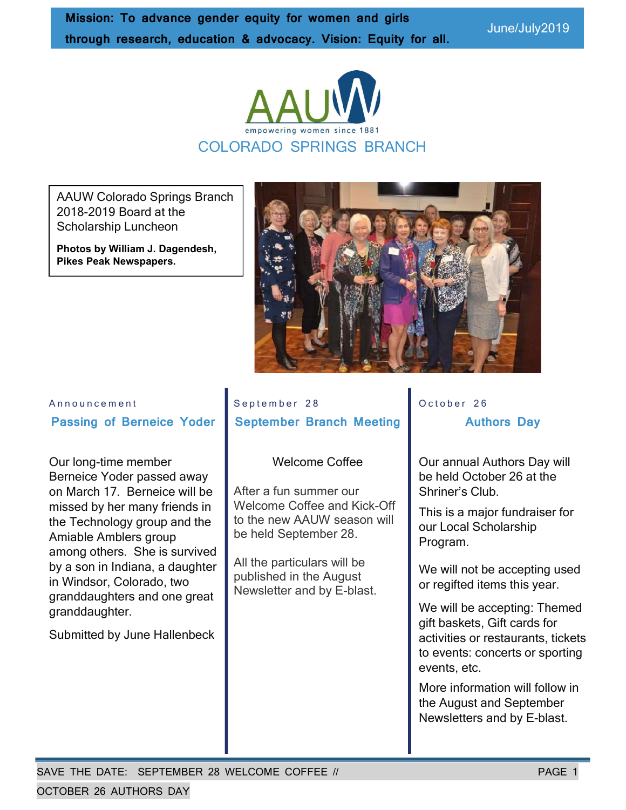June/July2019



AAUW Colorado Springs Branch 2018-2019 Board at the Scholarship Luncheon

Photos by William J. Dagendesh, Pikes Peak Newspapers.



# A n n o u n c e m e n t Passing of Berneice Yoder

Our long-time member Berneice Yoder passed away on March 17. Berneice will be missed by her many friends in the Technology group and the Amiable Amblers group among others. She is survived by a son in Indiana, a daughter in Windsor, Colorado, two granddaughters and one great granddaughter.

Submitted by June Hallenbeck

September 28 September Branch Meeting

#### Welcome Coffee

After a fun summer our Welcome Coffee and Kick-Off to the new AAUW season will be held September 28.

All the particulars will be published in the August Newsletter and by E-blast. October 26 Authors Day

Our annual Authors Day will be held October 26 at the Shriner's Club.

This is a major fundraiser for our Local Scholarship Program.

We will not be accepting used or regifted items this year.

We will be accepting: Themed gift baskets, Gift cards for activities or restaurants, tickets to events: concerts or sporting events, etc.

More information will follow in the August and September Newsletters and by E-blast.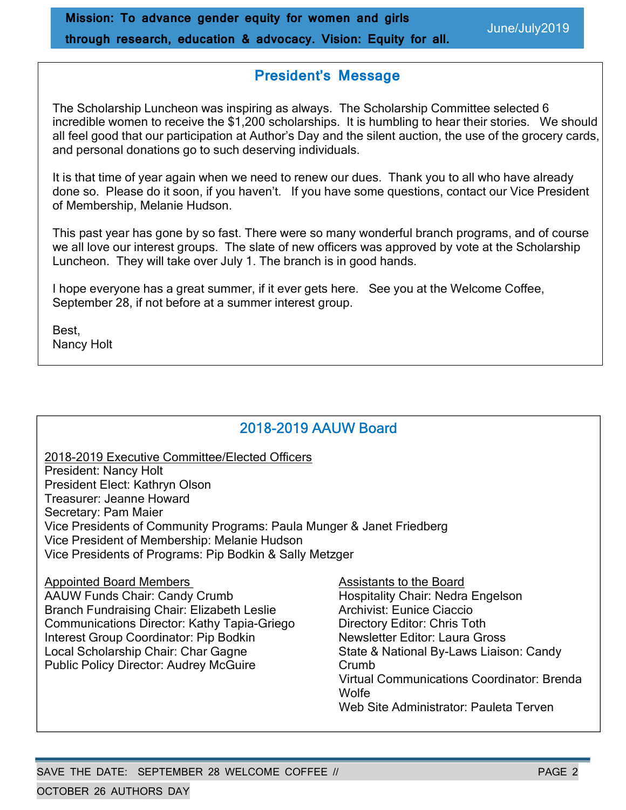# President's Message

The Scholarship Luncheon was inspiring as always. The Scholarship Committee selected 6 incredible women to receive the \$1,200 scholarships. It is humbling to hear their stories. We should all feel good that our participation at Author's Day and the silent auction, the use of the grocery cards, and personal donations go to such deserving individuals.

It is that time of year again when we need to renew our dues. Thank you to all who have already done so. Please do it soon, if you haven't. If you have some questions, contact our Vice President of Membership, Melanie Hudson.

This past year has gone by so fast. There were so many wonderful branch programs, and of course we all love our interest groups. The slate of new officers was approved by vote at the Scholarship Luncheon. They will take over July 1. The branch is in good hands.

I hope everyone has a great summer, if it ever gets here. See you at the Welcome Coffee, September 28, if not before at a summer interest group.

Best, Nancy Holt

# 2018-2019 AAUW Board

2018-2019 Executive Committee/Elected Officers President: Nancy Holt President Elect: Kathryn Olson Treasurer: Jeanne Howard Secretary: Pam Maier Vice Presidents of Community Programs: Paula Munger & Janet Friedberg Vice President of Membership: Melanie Hudson Vice Presidents of Programs: Pip Bodkin & Sally Metzger

Appointed Board Members Assistants to the Board AAUW Funds Chair: Candy Crumb Hospitality Chair: Nedra Engelson Branch Fundraising Chair: Elizabeth Leslie **Archivist: Eunice Ciaccio** Communications Director: Kathy Tapia-Griego Directory Editor: Chris Toth Interest Group Coordinator: Pip Bodkin Newsletter Editor: Laura Gross Local Scholarship Chair: Char Gagne State & National By-Laws Liaison: Candy Public Policy Director: Audrey McGuire Crumb Virtual Communications Coordinator: Brenda **Wolfe**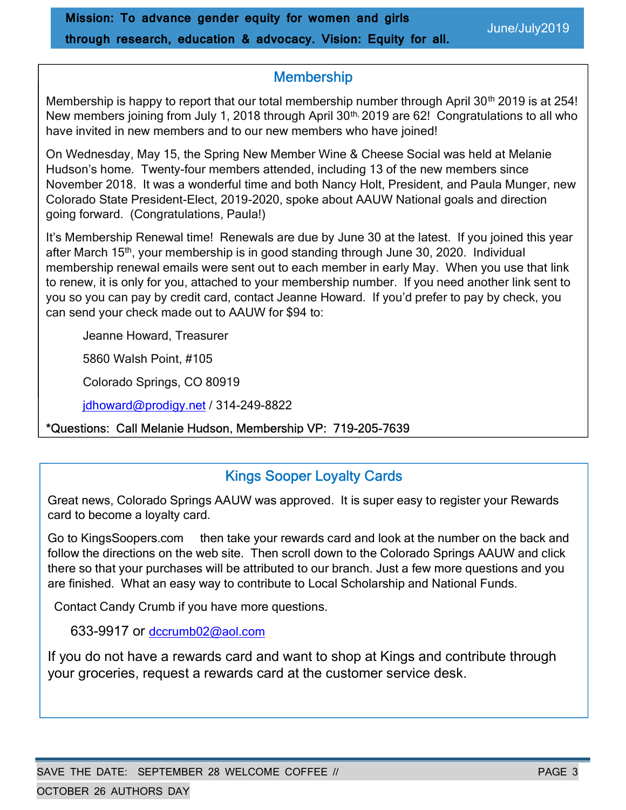# **Membership**

Membership is happy to report that our total membership number through April 30<sup>th</sup> 2019 is at 254!  $2018$  members joining nominally 1, 2010 unough  $A$ have invited in new members and to our new members who have joined! New members joining from July 1, 2018 through April 30<sup>th,</sup> 2019 are 62! Congratulations to all who

On Wednesday, May 15, the Spring New Member Wine & Cheese Social was held at Melanie Hudson's home. Twenty-four members attended, including 13 of the new members since naasen e nomer Thom, I can mombere anonasa, melaaling to enale how mombers ellies.<br>November 2018. It was a wonderful time and both Nancy Holt, President, and Paula Munger, new November 2010. It was a wonderful time and both Nancy Hott, I resident, and I data Munger,<br>Colorado State President-Elect, 2019-2020, spoke about AAUW National goals and direction Volorado State President-Liect, 2019-2020, Sport going forward. (Congratulations, Paula!)

after March 15<sup>th</sup>, your membership is in good standing through June 30, 2020. Individual and march to yyour membership to migocal standing anoagh came ovy 2020 membership<br>membership renewal emails were sent out to each member in early May. When you use that link Inchiboromp Foriowar omalie were controat to calcit mombers in early may. Throir you also that link<br>to renew, it is only for you, attached to your membership number. If you need another link sent to Communications Report of the Second Communications Director: Christian Communications Directory Editor: Chris<br>Communications Communications of the Communications of Lagrange House of the Contractor Communications of the you so you can pay by credit card, contact Jeanne Howard. If you'd prefer to pay by check, you can send your check made out to AAUW for \$94 to: It's Membership Renewal time! Renewals are due by June 30 at the latest. If you joined this year

Jeanne Howard, Treasurer vicinion communications Communications Communications Communications Communications Communications Communications Communications Communications Communications Communications Communications Communications Communications Com

5860 Walsh Point, #105

Colorado Springs, CO 80919

jdhoward@prodigy.net / 314-249-8822

#### \*Questions: Call Melanie Hudson, Membership VP: 719-205-7639

# Kings Sooper Loyalty Cards

Great news, Colorado Springs AAUW was approved. It is super easy to register your Rewards card to become a loyalty card.

Go to KingsSoopers.com then take your rewards card and look at the number on the back and follow the directions on the web site. Then scroll down to the Colorado Springs AAUW and click there so that your purchases will be attributed to our branch. Just a few more questions and you are finished. What an easy way to contribute to Local Scholarship and National Funds.

Contact Candy Crumb if you have more questions.

633-9917 or dccrumb02@aol.com

If you do not have a rewards card and want to shop at Kings and contribute through your groceries, request a rewards card at the customer service desk.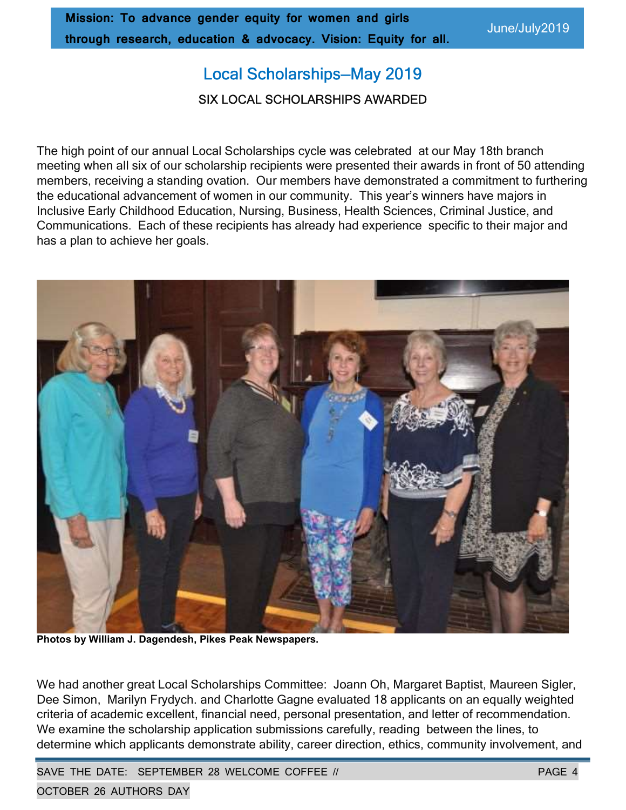# Local Scholarships—May 2019

#### SIX LOCAL SCHOLARSHIPS AWARDED

The high point of our annual Local Scholarships cycle was celebrated at our May 18th branch meeting when all six of our scholarship recipients were presented their awards in front of 50 attending members, receiving a standing ovation. Our members have demonstrated a commitment to furthering the educational advancement of women in our community. This year's winners have majors in Inclusive Early Childhood Education, Nursing, Business, Health Sciences, Criminal Justice, and Communications. Each of these recipients has already had experience specific to their major and has a plan to achieve her goals.



Photos by William J. Dagendesh, Pikes Peak Newspapers.

We had another great Local Scholarships Committee: Joann Oh, Margaret Baptist, Maureen Sigler, Dee Simon, Marilyn Frydych. and Charlotte Gagne evaluated 18 applicants on an equally weighted criteria of academic excellent, financial need, personal presentation, and letter of recommendation. We examine the scholarship application submissions carefully, reading between the lines, to determine which applicants demonstrate ability, career direction, ethics, community involvement, and

SAVE THE DATE: SEPTEMBER 28 WELCOME COFFEE // PAGE 4

OCTOBER 26 AUTHORS DAY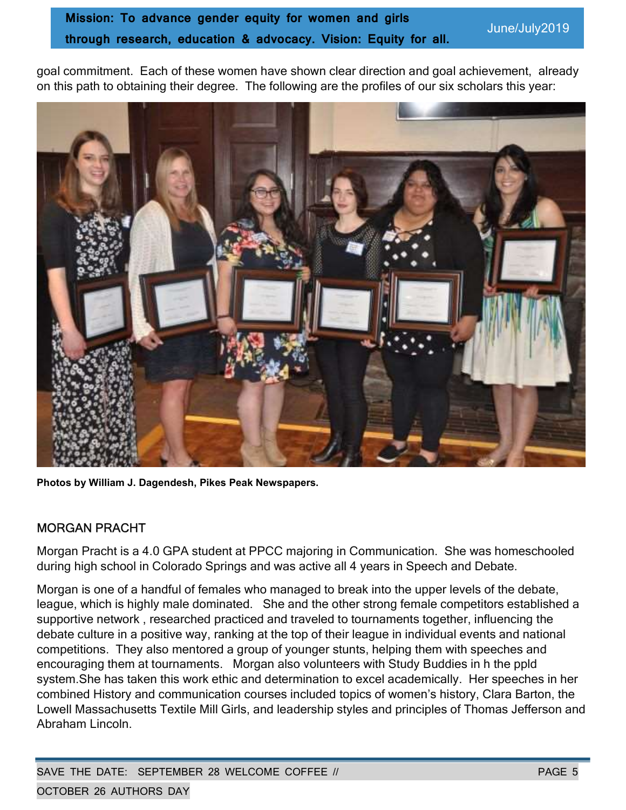goal commitment. Each of these women have shown clear direction and goal achievement, already on this path to obtaining their degree. The following are the profiles of our six scholars this year:



Photos by William J. Dagendesh, Pikes Peak Newspapers.

### MORGAN PRACHT

Morgan Pracht is a 4.0 GPA student at PPCC majoring in Communication. She was homeschooled during high school in Colorado Springs and was active all 4 years in Speech and Debate.

Morgan is one of a handful of females who managed to break into the upper levels of the debate, league, which is highly male dominated. She and the other strong female competitors established a supportive network , researched practiced and traveled to tournaments together, influencing the debate culture in a positive way, ranking at the top of their league in individual events and national competitions. They also mentored a group of younger stunts, helping them with speeches and encouraging them at tournaments. Morgan also volunteers with Study Buddies in h the ppld system.She has taken this work ethic and determination to excel academically. Her speeches in her combined History and communication courses included topics of women's history, Clara Barton, the Lowell Massachusetts Textile Mill Girls, and leadership styles and principles of Thomas Jefferson and Abraham Lincoln.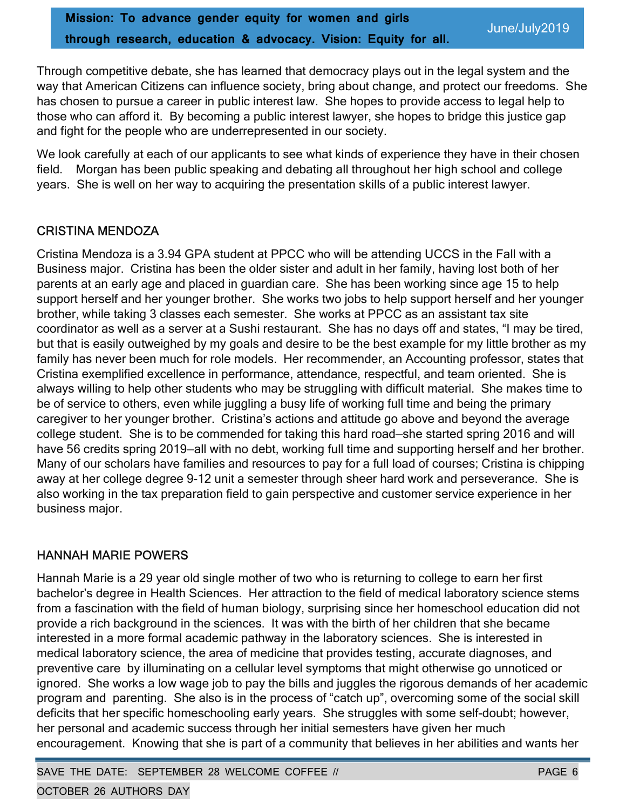Through competitive debate, she has learned that democracy plays out in the legal system and the way that American Citizens can influence society, bring about change, and protect our freedoms. She has chosen to pursue a career in public interest law. She hopes to provide access to legal help to those who can afford it. By becoming a public interest lawyer, she hopes to bridge this justice gap and fight for the people who are underrepresented in our society.

We look carefully at each of our applicants to see what kinds of experience they have in their chosen field. Morgan has been public speaking and debating all throughout her high school and college years. She is well on her way to acquiring the presentation skills of a public interest lawyer.

### CRISTINA MENDOZA

Cristina Mendoza is a 3.94 GPA student at PPCC who will be attending UCCS in the Fall with a Business major. Cristina has been the older sister and adult in her family, having lost both of her parents at an early age and placed in guardian care. She has been working since age 15 to help support herself and her younger brother. She works two jobs to help support herself and her younger brother, while taking 3 classes each semester. She works at PPCC as an assistant tax site coordinator as well as a server at a Sushi restaurant. She has no days off and states, "I may be tired, but that is easily outweighed by my goals and desire to be the best example for my little brother as my family has never been much for role models. Her recommender, an Accounting professor, states that Cristina exemplified excellence in performance, attendance, respectful, and team oriented. She is always willing to help other students who may be struggling with difficult material. She makes time to be of service to others, even while juggling a busy life of working full time and being the primary caregiver to her younger brother. Cristina's actions and attitude go above and beyond the average college student. She is to be commended for taking this hard road—she started spring 2016 and will have 56 credits spring 2019—all with no debt, working full time and supporting herself and her brother. Many of our scholars have families and resources to pay for a full load of courses; Cristina is chipping away at her college degree 9-12 unit a semester through sheer hard work and perseverance. She is also working in the tax preparation field to gain perspective and customer service experience in her business major.

### HANNAH MARIE POWERS

Hannah Marie is a 29 year old single mother of two who is returning to college to earn her first bachelor's degree in Health Sciences. Her attraction to the field of medical laboratory science stems from a fascination with the field of human biology, surprising since her homeschool education did not provide a rich background in the sciences. It was with the birth of her children that she became interested in a more formal academic pathway in the laboratory sciences. She is interested in medical laboratory science, the area of medicine that provides testing, accurate diagnoses, and preventive care by illuminating on a cellular level symptoms that might otherwise go unnoticed or ignored. She works a low wage job to pay the bills and juggles the rigorous demands of her academic program and parenting. She also is in the process of "catch up", overcoming some of the social skill deficits that her specific homeschooling early years. She struggles with some self-doubt; however, her personal and academic success through her initial semesters have given her much encouragement. Knowing that she is part of a community that believes in her abilities and wants her

SAVE THE DATE: SEPTEMBER 28 WELCOME COFFEE // PAGE 6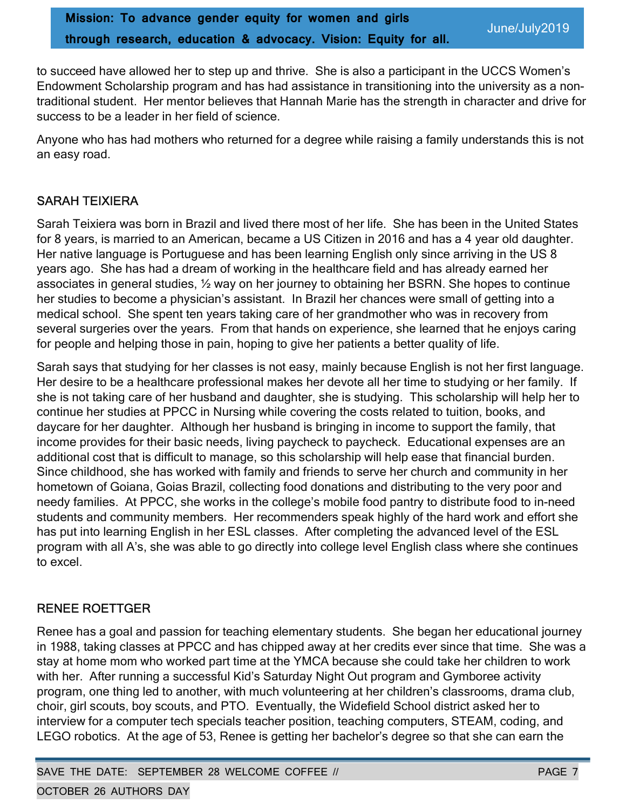to succeed have allowed her to step up and thrive. She is also a participant in the UCCS Women's Endowment Scholarship program and has had assistance in transitioning into the university as a nontraditional student. Her mentor believes that Hannah Marie has the strength in character and drive for success to be a leader in her field of science.

Anyone who has had mothers who returned for a degree while raising a family understands this is not an easy road.

# SARAH TEIXIERA

Sarah Teixiera was born in Brazil and lived there most of her life. She has been in the United States for 8 years, is married to an American, became a US Citizen in 2016 and has a 4 year old daughter. Her native language is Portuguese and has been learning English only since arriving in the US 8 years ago. She has had a dream of working in the healthcare field and has already earned her associates in general studies, ½ way on her journey to obtaining her BSRN. She hopes to continue her studies to become a physician's assistant. In Brazil her chances were small of getting into a medical school. She spent ten years taking care of her grandmother who was in recovery from several surgeries over the years. From that hands on experience, she learned that he enjoys caring for people and helping those in pain, hoping to give her patients a better quality of life.

Sarah says that studying for her classes is not easy, mainly because English is not her first language. Her desire to be a healthcare professional makes her devote all her time to studying or her family. If she is not taking care of her husband and daughter, she is studying. This scholarship will help her to continue her studies at PPCC in Nursing while covering the costs related to tuition, books, and daycare for her daughter. Although her husband is bringing in income to support the family, that income provides for their basic needs, living paycheck to paycheck. Educational expenses are an additional cost that is difficult to manage, so this scholarship will help ease that financial burden. Since childhood, she has worked with family and friends to serve her church and community in her hometown of Goiana, Goias Brazil, collecting food donations and distributing to the very poor and needy families. At PPCC, she works in the college's mobile food pantry to distribute food to in-need students and community members. Her recommenders speak highly of the hard work and effort she has put into learning English in her ESL classes. After completing the advanced level of the ESL program with all A's, she was able to go directly into college level English class where she continues to excel.

### RENEE ROETTGER

Renee has a goal and passion for teaching elementary students. She began her educational journey in 1988, taking classes at PPCC and has chipped away at her credits ever since that time. She was a stay at home mom who worked part time at the YMCA because she could take her children to work with her. After running a successful Kid's Saturday Night Out program and Gymboree activity program, one thing led to another, with much volunteering at her children's classrooms, drama club, choir, girl scouts, boy scouts, and PTO. Eventually, the Widefield School district asked her to interview for a computer tech specials teacher position, teaching computers, STEAM, coding, and LEGO robotics. At the age of 53, Renee is getting her bachelor's degree so that she can earn the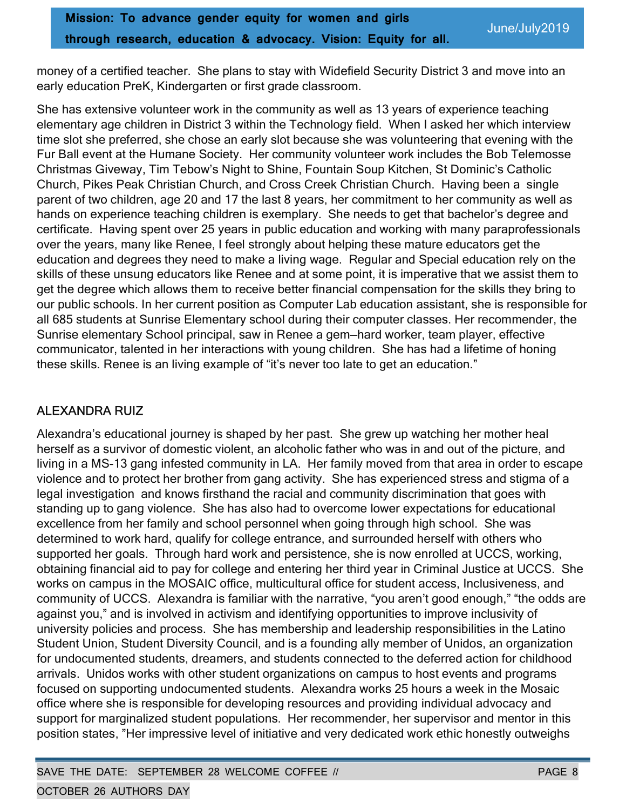money of a certified teacher. She plans to stay with Widefield Security District 3 and move into an early education PreK, Kindergarten or first grade classroom.

She has extensive volunteer work in the community as well as 13 years of experience teaching elementary age children in District 3 within the Technology field. When I asked her which interview time slot she preferred, she chose an early slot because she was volunteering that evening with the Fur Ball event at the Humane Society. Her community volunteer work includes the Bob Telemosse Christmas Giveway, Tim Tebow's Night to Shine, Fountain Soup Kitchen, St Dominic's Catholic Church, Pikes Peak Christian Church, and Cross Creek Christian Church. Having been a single parent of two children, age 20 and 17 the last 8 years, her commitment to her community as well as hands on experience teaching children is exemplary. She needs to get that bachelor's degree and certificate. Having spent over 25 years in public education and working with many paraprofessionals over the years, many like Renee, I feel strongly about helping these mature educators get the education and degrees they need to make a living wage. Regular and Special education rely on the skills of these unsung educators like Renee and at some point, it is imperative that we assist them to get the degree which allows them to receive better financial compensation for the skills they bring to our public schools. In her current position as Computer Lab education assistant, she is responsible for all 685 students at Sunrise Elementary school during their computer classes. Her recommender, the Sunrise elementary School principal, saw in Renee a gem—hard worker, team player, effective communicator, talented in her interactions with young children. She has had a lifetime of honing these skills. Renee is an living example of "it's never too late to get an education."

# ALEXANDRA RUIZ

Alexandra's educational journey is shaped by her past. She grew up watching her mother heal herself as a survivor of domestic violent, an alcoholic father who was in and out of the picture, and living in a MS-13 gang infested community in LA. Her family moved from that area in order to escape violence and to protect her brother from gang activity. She has experienced stress and stigma of a legal investigation and knows firsthand the racial and community discrimination that goes with standing up to gang violence. She has also had to overcome lower expectations for educational excellence from her family and school personnel when going through high school. She was determined to work hard, qualify for college entrance, and surrounded herself with others who supported her goals. Through hard work and persistence, she is now enrolled at UCCS, working, obtaining financial aid to pay for college and entering her third year in Criminal Justice at UCCS. She works on campus in the MOSAIC office, multicultural office for student access, Inclusiveness, and community of UCCS. Alexandra is familiar with the narrative, "you aren't good enough," "the odds are against you," and is involved in activism and identifying opportunities to improve inclusivity of university policies and process. She has membership and leadership responsibilities in the Latino Student Union, Student Diversity Council, and is a founding ally member of Unidos, an organization for undocumented students, dreamers, and students connected to the deferred action for childhood arrivals. Unidos works with other student organizations on campus to host events and programs focused on supporting undocumented students. Alexandra works 25 hours a week in the Mosaic office where she is responsible for developing resources and providing individual advocacy and support for marginalized student populations. Her recommender, her supervisor and mentor in this position states, "Her impressive level of initiative and very dedicated work ethic honestly outweighs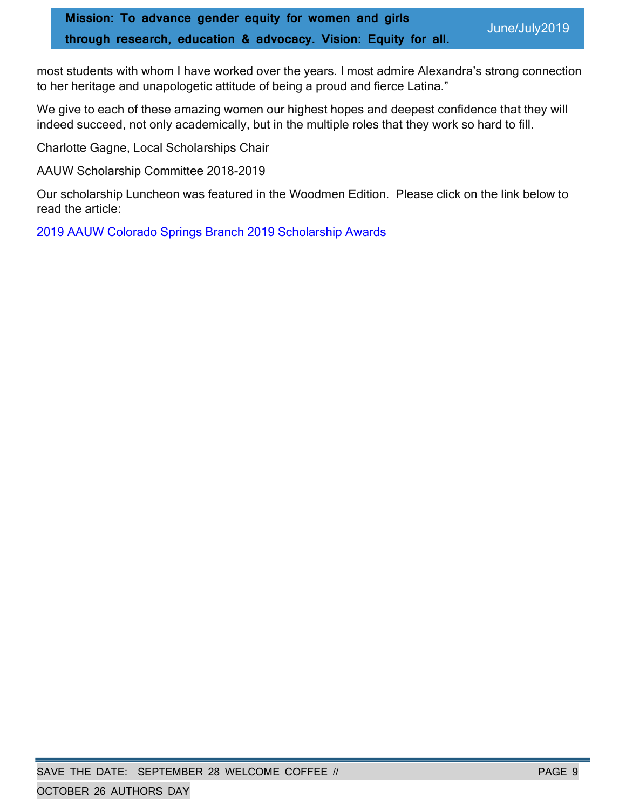most students with whom I have worked over the years. I most admire Alexandra's strong connection to her heritage and unapologetic attitude of being a proud and fierce Latina."

We give to each of these amazing women our highest hopes and deepest confidence that they will indeed succeed, not only academically, but in the multiple roles that they work so hard to fill.

Charlotte Gagne, Local Scholarships Chair

AAUW Scholarship Committee 2018-2019

Our scholarship Luncheon was featured in the Woodmen Edition. Please click on the link below to read the article:

2019 AAUW Colorado Springs Branch 2019 Scholarship Awards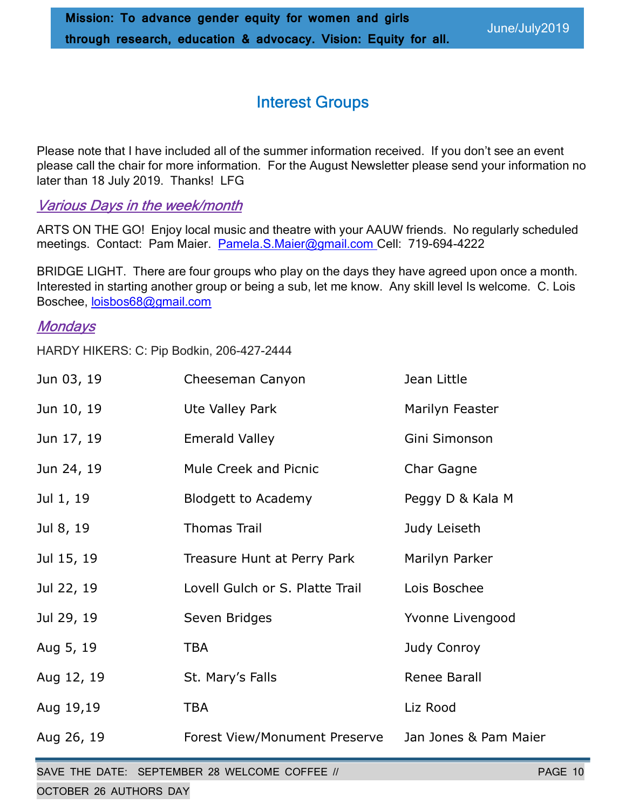# Interest Groups

Please note that I have included all of the summer information received. If you don't see an event please call the chair for more information. For the August Newsletter please send your information no later than 18 July 2019. Thanks! LFG

# Various Days in the week/month

ARTS ON THE GO! Enjoy local music and theatre with your AAUW friends. No regularly scheduled meetings. Contact: Pam Maier. Pamela.S.Maier@gmail.com Cell: 719-694-4222

BRIDGE LIGHT. There are four groups who play on the days they have agreed upon once a month. Interested in starting another group or being a sub, let me know. Any skill level Is welcome. C. Lois Boschee, loisbos68@gmail.com

# **Mondays**

HARDY HIKERS: C: Pip Bodkin, 206-427-2444

| Jun 03, 19 | Cheeseman Canyon                | Jean Little           |
|------------|---------------------------------|-----------------------|
| Jun 10, 19 | Ute Valley Park                 | Marilyn Feaster       |
| Jun 17, 19 | <b>Emerald Valley</b>           | Gini Simonson         |
| Jun 24, 19 | Mule Creek and Picnic           | Char Gagne            |
| Jul 1, 19  | <b>Blodgett to Academy</b>      | Peggy D & Kala M      |
| Jul 8, 19  | <b>Thomas Trail</b>             | Judy Leiseth          |
| Jul 15, 19 | Treasure Hunt at Perry Park     | Marilyn Parker        |
| Jul 22, 19 | Lovell Gulch or S. Platte Trail | Lois Boschee          |
| Jul 29, 19 | Seven Bridges                   | Yvonne Livengood      |
| Aug 5, 19  | <b>TBA</b>                      | Judy Conroy           |
| Aug 12, 19 | St. Mary's Falls                | Renee Barall          |
| Aug 19,19  | <b>TBA</b>                      | Liz Rood              |
| Aug 26, 19 | Forest View/Monument Preserve   | Jan Jones & Pam Maier |
|            |                                 |                       |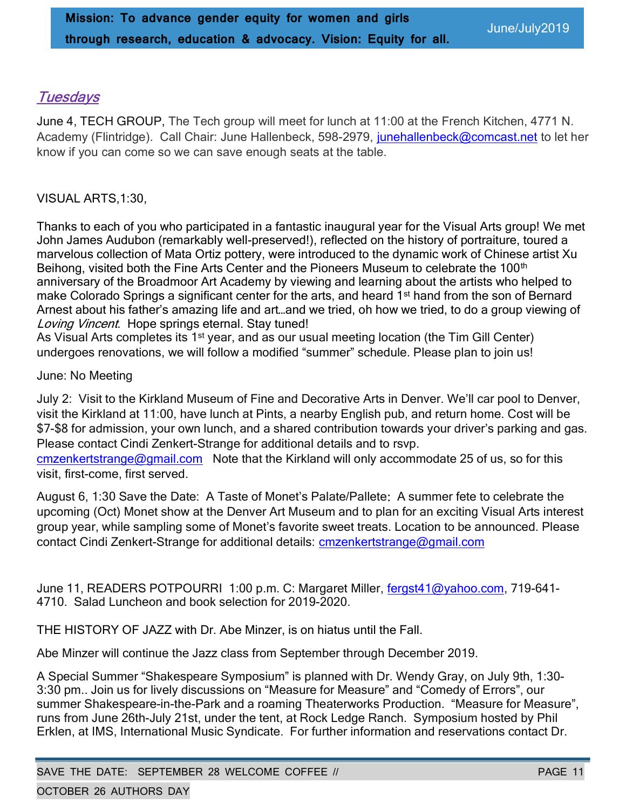# **Tuesdays**

June 4, TECH GROUP, The Tech group will meet for lunch at 11:00 at the French Kitchen, 4771 N. Academy (Flintridge). Call Chair: June Hallenbeck, 598-2979, junehallenbeck@comcast.net to let her know if you can come so we can save enough seats at the table.

#### VISUAL ARTS,1:30,

Thanks to each of you who participated in a fantastic inaugural year for the Visual Arts group! We met John James Audubon (remarkably well-preserved!), reflected on the history of portraiture, toured a marvelous collection of Mata Ortiz pottery, were introduced to the dynamic work of Chinese artist Xu Beihong, visited both the Fine Arts Center and the Pioneers Museum to celebrate the 100<sup>th</sup> anniversary of the Broadmoor Art Academy by viewing and learning about the artists who helped to make Colorado Springs a significant center for the arts, and heard 1<sup>st</sup> hand from the son of Bernard Arnest about his father's amazing life and art…and we tried, oh how we tried, to do a group viewing of Loving Vincent. Hope springs eternal. Stay tuned!

As Visual Arts completes its 1<sup>st</sup> year, and as our usual meeting location (the Tim Gill Center) undergoes renovations, we will follow a modified "summer" schedule. Please plan to join us!

#### June: No Meeting

July 2: Visit to the Kirkland Museum of Fine and Decorative Arts in Denver. We'll car pool to Denver, visit the Kirkland at 11:00, have lunch at Pints, a nearby English pub, and return home. Cost will be \$7-\$8 for admission, your own lunch, and a shared contribution towards your driver's parking and gas. Please contact Cindi Zenkert-Strange for additional details and to rsvp.

cmzenkertstrange@gmail.com Note that the Kirkland will only accommodate 25 of us, so for this visit, first-come, first served.

August 6, 1:30 Save the Date: A Taste of Monet's Palate/Pallete: A summer fete to celebrate the upcoming (Oct) Monet show at the Denver Art Museum and to plan for an exciting Visual Arts interest group year, while sampling some of Monet's favorite sweet treats. Location to be announced. Please contact Cindi Zenkert-Strange for additional details: cmzenkertstrange@gmail.com

June 11, READERS POTPOURRI 1:00 p.m. C: Margaret Miller, fergst41@yahoo.com, 719-641- 4710. Salad Luncheon and book selection for 2019-2020.

THE HISTORY OF JAZZ with Dr. Abe Minzer, is on hiatus until the Fall.

Abe Minzer will continue the Jazz class from September through December 2019.

A Special Summer "Shakespeare Symposium" is planned with Dr. Wendy Gray, on July 9th, 1:30- 3:30 pm.. Join us for lively discussions on "Measure for Measure" and "Comedy of Errors", our summer Shakespeare-in-the-Park and a roaming Theaterworks Production. "Measure for Measure", runs from June 26th-July 21st, under the tent, at Rock Ledge Ranch. Symposium hosted by Phil Erklen, at IMS, International Music Syndicate. For further information and reservations contact Dr.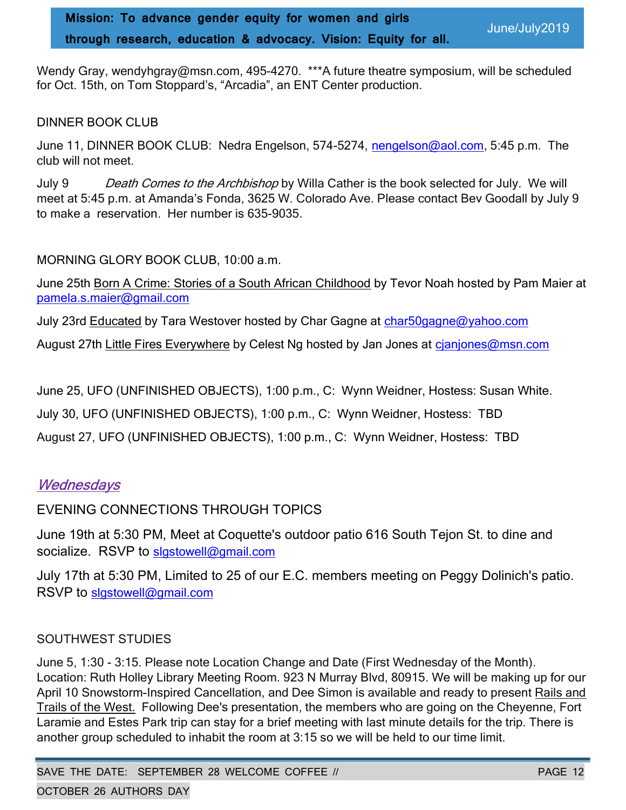Wendy Gray, wendyhgray@msn.com, 495-4270. \*\*\*A future theatre symposium, will be scheduled for Oct. 15th, on Tom Stoppard's, "Arcadia", an ENT Center production.

#### DINNER BOOK CLUB

June 11, DINNER BOOK CLUB: Nedra Engelson, 574-5274, nengelson@aol.com, 5:45 p.m. The club will not meet.

July 9 Death Comes to the Archbishop by Willa Cather is the book selected for July. We will meet at 5:45 p.m. at Amanda's Fonda, 3625 W. Colorado Ave. Please contact Bev Goodall by July 9 to make a reservation. Her number is 635-9035.

#### MORNING GLORY BOOK CLUB, 10:00 a.m.

June 25th Born A Crime: Stories of a South African Childhood by Tevor Noah hosted by Pam Maier at pamela.s.maier@gmail.com

July 23rd Educated by Tara Westover hosted by Char Gagne at char50gagne@yahoo.com

August 27th Little Fires Everywhere by Celest Ng hosted by Jan Jones at cjanjones@msn.com

June 25, UFO (UNFINISHED OBJECTS), 1:00 p.m., C: Wynn Weidner, Hostess: Susan White.

July 30, UFO (UNFINISHED OBJECTS), 1:00 p.m., C: Wynn Weidner, Hostess: TBD

August 27, UFO (UNFINISHED OBJECTS), 1:00 p.m., C: Wynn Weidner, Hostess: TBD

# **Wednesdays**

EVENING CONNECTIONS THROUGH TOPICS

June 19th at 5:30 PM, Meet at Coquette's outdoor patio 616 South Tejon St. to dine and socialize. RSVP to slgstowell@gmail.com

July 17th at 5:30 PM, Limited to 25 of our E.C. members meeting on Peggy Dolinich's patio. RSVP to slgstowell@gmail.com

### SOUTHWEST STUDIES

June 5, 1:30 - 3:15. Please note Location Change and Date (First Wednesday of the Month). Location: Ruth Holley Library Meeting Room. 923 N Murray Blvd, 80915. We will be making up for our April 10 Snowstorm-Inspired Cancellation, and Dee Simon is available and ready to present Rails and Trails of the West. Following Dee's presentation, the members who are going on the Cheyenne, Fort Laramie and Estes Park trip can stay for a brief meeting with last minute details for the trip. There is another group scheduled to inhabit the room at 3:15 so we will be held to our time limit.

SAVE THE DATE: SEPTEMBER 28 WELCOME COFFEE // PAGE 12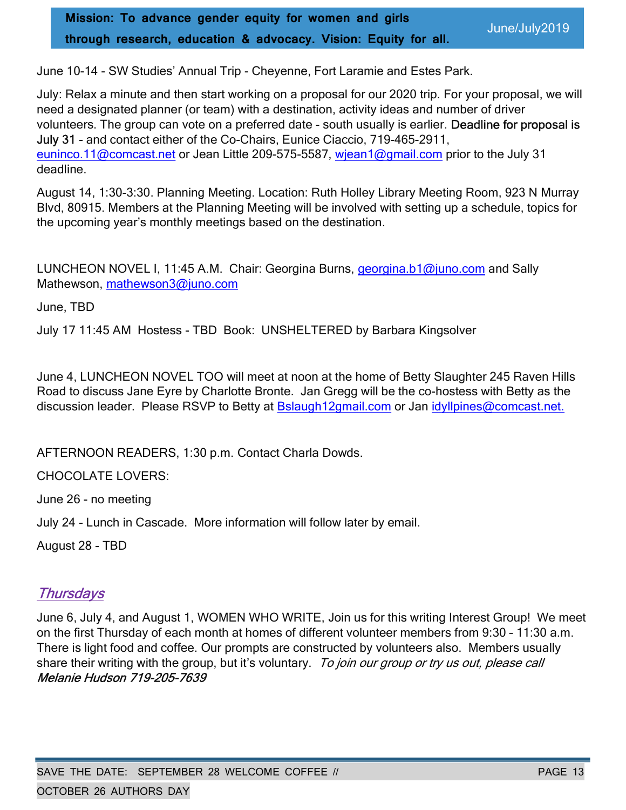Mission: To advance gender equity for women and girls through research, education & advocacy. Vision: Equity for all.

June/July2019

June 10-14 - SW Studies' Annual Trip - Cheyenne, Fort Laramie and Estes Park.

July: Relax a minute and then start working on a proposal for our 2020 trip. For your proposal, we will need a designated planner (or team) with a destination, activity ideas and number of driver volunteers. The group can vote on a preferred date - south usually is earlier. Deadline for proposal is July 31 - and contact either of the Co-Chairs, Eunice Ciaccio, 719-465-2911, euninco.11@comcast.net or Jean Little 209-575-5587, wjean1@gmail.com prior to the July 31 deadline.

August 14, 1:30-3:30. Planning Meeting. Location: Ruth Holley Library Meeting Room, 923 N Murray Blvd, 80915. Members at the Planning Meeting will be involved with setting up a schedule, topics for the upcoming year's monthly meetings based on the destination.

LUNCHEON NOVEL I, 11:45 A.M. Chair: Georgina Burns, georgina.b1@juno.com and Sally Mathewson, mathewson3@juno.com

June, TBD

July 17 11:45 AM Hostess - TBD Book: UNSHELTERED by Barbara Kingsolver

June 4, LUNCHEON NOVEL TOO will meet at noon at the home of Betty Slaughter 245 Raven Hills Road to discuss Jane Eyre by Charlotte Bronte. Jan Gregg will be the co-hostess with Betty as the discussion leader. Please RSVP to Betty at Bslaugh12gmail.com or Jan idyllpines@comcast.net.

AFTERNOON READERS, 1:30 p.m. Contact Charla Dowds.

CHOCOLATE LOVERS:

June 26 - no meeting

July 24 - Lunch in Cascade. More information will follow later by email.

August 28 - TBD

# **Thursdays**

June 6, July 4, and August 1, WOMEN WHO WRITE, Join us for this writing Interest Group! We meet on the first Thursday of each month at homes of different volunteer members from 9:30 – 11:30 a.m. There is light food and coffee. Our prompts are constructed by volunteers also. Members usually share their writing with the group, but it's voluntary. To join our group or try us out, please call Melanie Hudson 719-205-7639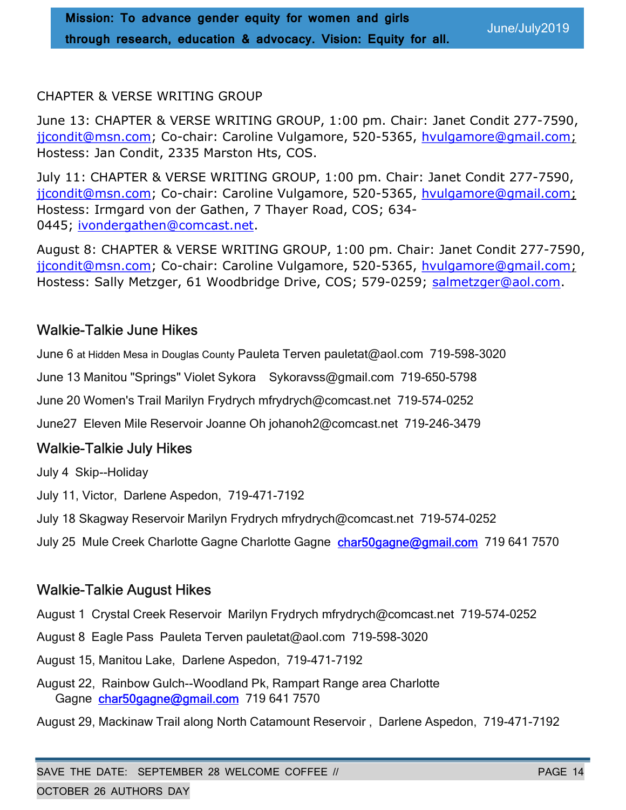### CHAPTER & VERSE WRITING GROUP

June 13: CHAPTER & VERSE WRITING GROUP, 1:00 pm. Chair: Janet Condit 277-7590, jjcondit@msn.com; Co-chair: Caroline Vulgamore, 520-5365, hvulgamore@gmail.com; Hostess: Jan Condit, 2335 Marston Hts, COS.

July 11: CHAPTER & VERSE WRITING GROUP, 1:00 pm. Chair: Janet Condit 277-7590, jjcondit@msn.com; Co-chair: Caroline Vulgamore, 520-5365, hvulgamore@gmail.com; Hostess: Irmgard von der Gathen, 7 Thayer Road, COS; 634- 0445; ivondergathen@comcast.net.

August 8: CHAPTER & VERSE WRITING GROUP, 1:00 pm. Chair: Janet Condit 277-7590, jjcondit@msn.com; Co-chair: Caroline Vulgamore, 520-5365, hvulgamore@gmail.com; Hostess: Sally Metzger, 61 Woodbridge Drive, COS; 579-0259; salmetzger@aol.com.

# Walkie-Talkie June Hikes

June 6 at Hidden Mesa in Douglas County Pauleta Terven pauletat@aol.com 719-598-3020

June 13 Manitou "Springs" Violet Sykora Sykoravss@gmail.com 719-650-5798

June 20 Women's Trail Marilyn Frydrych mfrydrych@comcast.net 719-574-0252

June27 Eleven Mile Reservoir Joanne Oh johanoh2@comcast.net 719-246-3479

# Walkie-Talkie July Hikes

July 4 Skip--Holiday

July 11, Victor, Darlene Aspedon, 719-471-7192

July 18 Skagway Reservoir Marilyn Frydrych mfrydrych@comcast.net 719-574-0252

July 25 Mule Creek Charlotte Gagne Charlotte Gagne char50gagne@gmail.com 719 641 7570

# Walkie-Talkie August Hikes

August 1 Crystal Creek Reservoir Marilyn Frydrych mfrydrych@comcast.net 719-574-0252

August 8 Eagle Pass Pauleta Terven pauletat@aol.com 719-598-3020

August 15, Manitou Lake, Darlene Aspedon, 719-471-7192

August 22, Rainbow Gulch--Woodland Pk, Rampart Range area Charlotte Gagne char50gagne@gmail.com 719 641 7570

August 29, Mackinaw Trail along North Catamount Reservoir , Darlene Aspedon, 719-471-7192